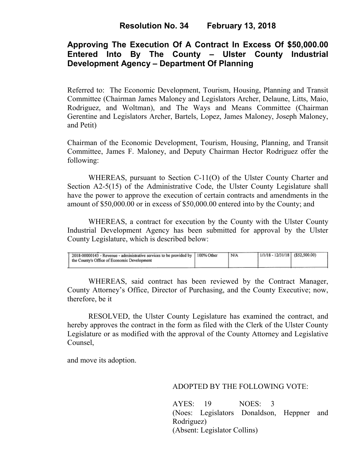# **Resolution No. 34 February 13, 2018**

# **Approving The Execution Of A Contract In Excess Of \$50,000.00 Entered Into By The County – Ulster County Industrial Development Agency – Department Of Planning**

Referred to: The Economic Development, Tourism, Housing, Planning and Transit Committee (Chairman James Maloney and Legislators Archer, Delaune, Litts, Maio, Rodriguez, and Woltman), and The Ways and Means Committee (Chairman Gerentine and Legislators Archer, Bartels, Lopez, James Maloney, Joseph Maloney, and Petit)

Chairman of the Economic Development, Tourism, Housing, Planning, and Transit Committee, James F. Maloney, and Deputy Chairman Hector Rodriguez offer the following:

WHEREAS, pursuant to Section C-11(O) of the Ulster County Charter and Section A2-5(15) of the Administrative Code, the Ulster County Legislature shall have the power to approve the execution of certain contracts and amendments in the amount of \$50,000.00 or in excess of \$50,000.00 entered into by the County; and

 WHEREAS, a contract for execution by the County with the Ulster County Industrial Development Agency has been submitted for approval by the Ulster County Legislature, which is described below:

| 2018-00000143 - Revenue - administrative services to be provided by   100% Other<br>I the County's Office of Economic Development | N/A | $1/1/18 - 12/31/18$ (\$52,500.00) |  |
|-----------------------------------------------------------------------------------------------------------------------------------|-----|-----------------------------------|--|
|                                                                                                                                   |     |                                   |  |

WHEREAS, said contract has been reviewed by the Contract Manager, County Attorney's Office, Director of Purchasing, and the County Executive; now, therefore, be it

RESOLVED, the Ulster County Legislature has examined the contract, and hereby approves the contract in the form as filed with the Clerk of the Ulster County Legislature or as modified with the approval of the County Attorney and Legislative Counsel,

and move its adoption.

### ADOPTED BY THE FOLLOWING VOTE:

AYES: 19 NOES: 3 (Noes: Legislators Donaldson, Heppner and Rodriguez) (Absent: Legislator Collins)